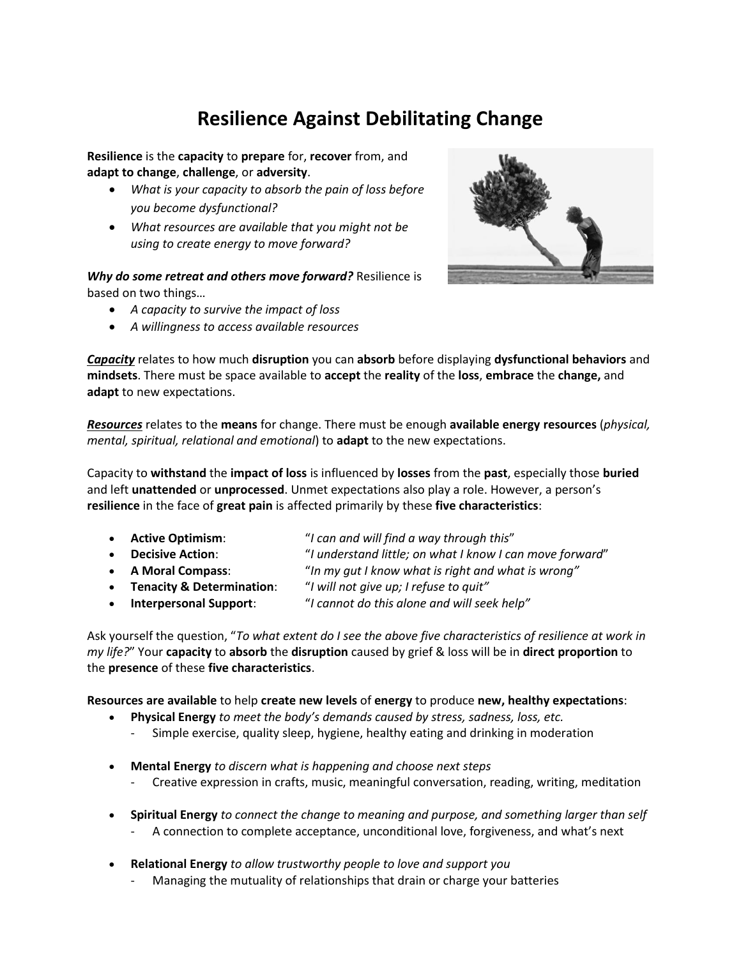## **Resilience Against Debilitating Change**

**Resilience** is the **capacity** to **prepare** for, **recover** from, and **adapt to change**, **challenge**, or **adversity**.

- *What is your capacity to absorb the pain of loss before you become dysfunctional?*
- *What resources are available that you might not be using to create energy to move forward?*

*Why do some retreat and others move forward?* Resilience is based on two things…

- *A capacity to survive the impact of loss*
- *A willingness to access available resources*



*Capacity* relates to how much **disruption** you can **absorb** before displaying **dysfunctional behaviors** and **mindsets**. There must be space available to **accept** the **reality** of the **loss**, **embrace** the **change,** and **adapt** to new expectations.

*[Resources](http://connerpartners.com/uncategorized/glossary)* relates to the **means** for change. There must be enough **available energy resources** (*physical, mental, spiritual, relational and emotional*) to **adapt** to the new expectations.

Capacity to **withstand** the **impact of loss** is influenced by **losses** from the **past**, especially those **buried** and left **unattended** or **unprocessed**. Unmet expectations also play a role. However, a person's **resilience** in the face of **great pain** is affected primarily by these **five characteristics**:

- **Active Optimism**: "*I can and will find a way through this*"
- **Decisive Action**: "*I understand little; on what I know I can move forward*"
- **A Moral Compass**: "*In my gut I know what is right and what is wrong"*
- **Tenacity & Determination**: "*I will not give up; I refuse to quit"*
- **Interpersonal Support**: "*I cannot do this alone and will seek help"*

Ask yourself the question, "*To what extent do I see the above five characteristics of resilience at work in my life?*" Your **capacity** to **absorb** the **disruption** caused by grief & loss will be in **direct proportion** to the **presence** of these **five characteristics**.

**Resources are available** to help **create new levels** of **energy** to produce **new, healthy expectations**:

- **Physical Energy** *to meet the body's demands caused by stress, sadness, loss, etc.*
	- Simple exercise, quality sleep, hygiene, healthy eating and drinking in moderation
- **Mental Energy** *to discern what is happening and choose next steps*
	- Creative expression in crafts, music, meaningful conversation, reading, writing, meditation
- **Spiritual Energy** *to connect the change to meaning and purpose, and something larger than self*
	- A connection to complete acceptance, unconditional love, forgiveness, and what's next
- **Relational Energy** *to allow trustworthy people to love and support you*
	- Managing the mutuality of relationships that drain or charge your batteries